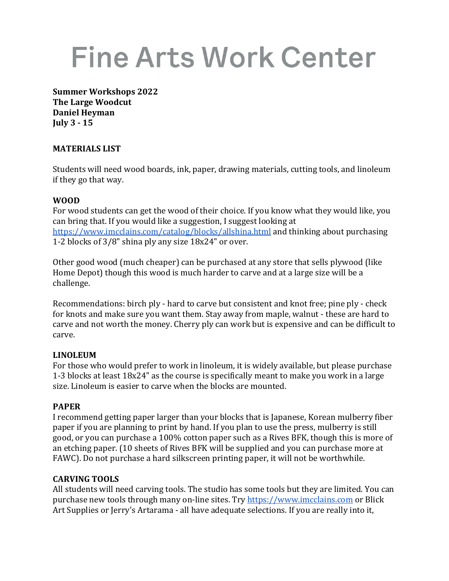# **Fine Arts Work Center**

**Summer Workshops 2022 The Large Woodcut Daniel Heyman July 3 - 15**

#### **MATERIALS LIST**

Students will need wood boards, ink, paper, drawing materials, cutting tools, and linoleum if they go that way.

#### **WOOD**

For wood students can get the wood of their choice. If you know what they would like, you can bring that. If you would like a suggestion, I suggest looking at https://www.imcclains.com/catalog/blocks/allshina.html and thinking about purchasing 1-2 blocks of  $3/8$ " shina ply any size  $18x24$ " or over.

Other good wood (much cheaper) can be purchased at any store that sells plywood (like Home Depot) though this wood is much harder to carve and at a large size will be a challenge. 

Recommendations: birch  $ply$  - hard to carve but consistent and knot free;  $pin$ e  $ply$  - check for knots and make sure you want them. Stay away from maple, walnut - these are hard to carve and not worth the money. Cherry ply can work but is expensive and can be difficult to carve. 

#### **LINOLEUM**

For those who would prefer to work in linoleum, it is widely available, but please purchase 1-3 blocks at least 18x24" as the course is specifically meant to make you work in a large size. Linoleum is easier to carve when the blocks are mounted.

#### **PAPER**

I recommend getting paper larger than your blocks that is Japanese, Korean mulberry fiber paper if you are planning to print by hand. If you plan to use the press, mulberry is still good, or you can purchase a 100% cotton paper such as a Rives BFK, though this is more of an etching paper. (10 sheets of Rives BFK will be supplied and you can purchase more at FAWC). Do not purchase a hard silkscreen printing paper, it will not be worthwhile.

#### **CARVING TOOLS**

All students will need carving tools. The studio has some tools but they are limited. You can purchase new tools through many on-line sites. Try https://www.imcclains.com or Blick Art Supplies or Jerry's Artarama - all have adequate selections. If you are really into it,